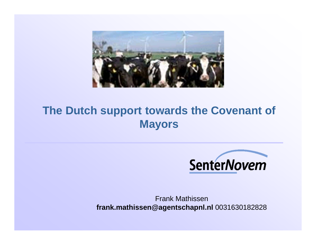

## **The Dutch support towards the Covenant of Mayors**



Frank Mathissen **frank.mathissen@agentschapnl.nl** 0031630182828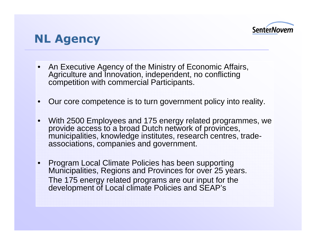

## NL Agency

- • An Executive Agency of the Ministry of Economic Affairs, Agriculture and Innovation, independent, no conflicting competition with commercial Participants.
- Our core competence is to turn government policy into reality.
- • With 2500 Employees and 175 energy related programmes, we provide access to a broad Dutch network of provinces, municipalities, knowledge institutes, research centres, tradeassociations, companies and government.
- Program Local Climate Policies has been supporting Municipalities, Regions and Provinces for over 25 years. The 175 energy related programs are our input for the development of Local climate Policies and SEAP's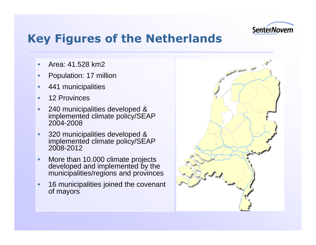

## Key Figures of the Netherlands

- •Area: 41.528 km2
- •Population: 17 million
- •441 municipalities
- •12 Provinces
- • 240 municipalities developed & implemented climate policy/SEAP 2004-2008
- • 320 municipalities developed & implemented climate policy/SEAP 2008-2012
- • More than 10.000 climate projects developed and implemented by the municipalities/regions and provinces
- • 16 municipalities joined the covenant of mayors

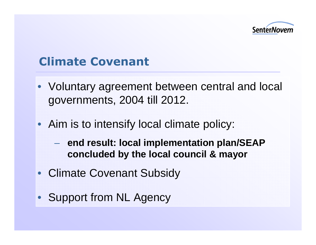

## Climate Covenant

- Voluntary agreement between central and local governments, 2004 till 2012.
- Aim is to intensify local climate policy:
	- $\mathcal{L}_{\mathcal{A}}$  **end result: local implementation plan/SEAP concluded by the local council & mayor**
- Climate Covenant Subsidy
- Support from NL Agency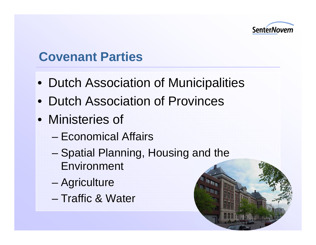

## **Covenant Parties**

- Dutch Association of Municipalities
- Dutch Association of Provinces
- Ministeries of
	- –Economical Affairs
	- – Spatial Planning, Housing and the Environment
	- **Agriculture**
	- –Traffic & Water

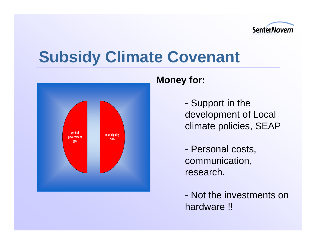

# **Subsidy Climate Covenant**



#### **Money for:**

- Support in the development of Local climate policies, SEAP

- Personal costs, communication, research.

- Not the investments on hardware !!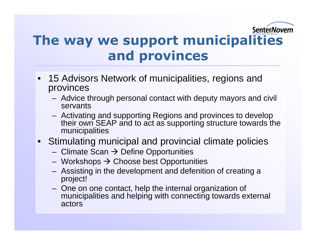## SenterNovem

## The way we support municipalities and provinces

- 15 Advisors Network of municipalities, regions and provinces
	- $\Delta$ dvice Advice through personal contact with deputy mayors and civil servants
	- $-$  Activativ Activating and supporting Regions and provinces to develop their own SEAP and to act as supporting structure towards the municipalities
- Stimulating municipal and provincial climate policies
	- –Climate Scan → Define Opportunities<br>
	Morkshops → Choose best Opportun
	- –Workshops → Choose best Opportunities<br>Assisting in the development and defeniti
	- – Assisting in the development and defenition of creating a project!
	- – One on one contact, help the internal organization of municipalities and helping with connecting towards external actors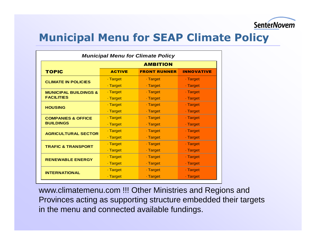

### Municipal Menu for SEAP Climate Policy

| <b>Municipal Menu for Climate Policy</b>          |                 |                     |                   |
|---------------------------------------------------|-----------------|---------------------|-------------------|
|                                                   | <b>AMBITION</b> |                     |                   |
| <b>TOPIC</b>                                      | <b>ACTIVE</b>   | <b>FRONT RUNNER</b> | <b>INNOVATIVE</b> |
| <b>CLIMATE IN POLICIES</b>                        | . Target        | . Target            | · Target          |
|                                                   | · Target        | · Target            | - Target          |
| <b>MUNICIPAL BUILDINGS &amp;</b>                  | - Target        | · Target            | - Target          |
| <b>FACILITIES</b>                                 | · Target        | · Target            | - Target          |
| <b>HOUSING</b>                                    | · Target        | . Target            | · Target          |
|                                                   | · Target        | . Target            | · Target          |
| <b>COMPANIES &amp; OFFICE</b><br><b>BUILDINGS</b> | · Target        | · Target            | · Target          |
|                                                   | · Target        | · Target            | - Target          |
| <b>AGRICULTURAL SECTOR</b>                        | · Target        | · Target            | - Target          |
|                                                   | · Target        | · Target            | - Target          |
| <b>TRAFIC &amp; TRANSPORT</b>                     | · Target        | . Target            | · Target          |
|                                                   | · Target        | · Target            | - Target          |
| <b>RENEWABLE ENERGY</b>                           | · Target        | . Target            | · Target          |
|                                                   | · Target        | - Target            | - Target          |
| <b>INTERNATIONAL</b>                              | · Target        | · Target            | · Target          |
|                                                   | · Target        | · Target            | - Target          |

www.climatemenu.com !!! Other Ministries and Regions and Provinces acting as supporting structure embedded their targets in the menu and connected available fundings.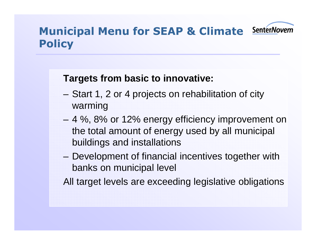

## Municipal Menu for SEAP & Climate **Policy**

#### **Targets from basic to innovative:**

- – Start 1, 2 or 4 projects on rehabilitation of city warming
- 4 %, 8% or 12% energy efficiency improvement on the total amount of energy used by all municipal buildings and installations
- Development of financial incentives together with banks on municipal level

All target levels are exceeding legislative obligations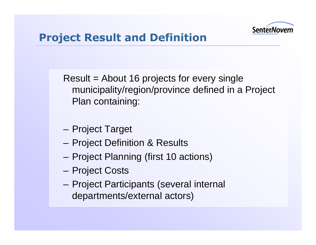

## Project Result and Definition

Result = About 16 projects for every single municipality/region/province defined in a Project Plan containing:

- Project Target
- Project Definition & Results
- Project Planning (first 10 actions)
- Project Costs
- Project Participants (several internal departments/external actors)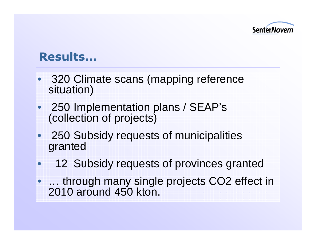

## Results…

- 320 Climate scans (mapping reference situation)
- 250 Implementation plans / SEAP's (collection of projects)
- 250 Subsidy requests of municipalities granted
- $\bullet$ <sup>12</sup> Subsidy requests of provinces granted
- ... through many single projects CO2 effect in 2010 around 450 kton.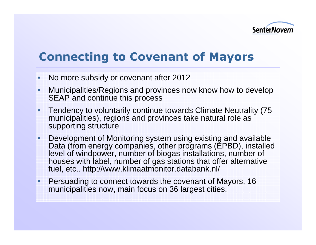

## Connecting to Covenant of Mayors

- No more subsidy or covenant after 2012
- Municipalities/Regions and provinces now know how to develop SEAP and continue this process
- • Tendency to voluntarily continue towards Climate Neutrality (75 municipalities), regions and provinces take natural role as supporting structure
- $\bullet$  Development of Monitoring system using existing and available Data (from energy companies, other programs (EPBD), installed level of windpower, number of biogas installations, number of houses with label, number of gas stations that offer alternative fuel, etc.. http://www.klimaatmonitor.databank.nl/
- Persuading to connect towards the covenant of Mayors, 16 municipalities now, main focus on 36 largest cities.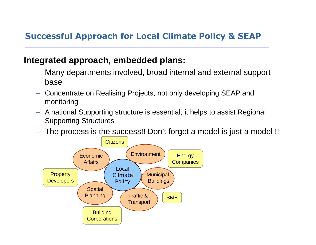#### Successful Approach for Local Climate Policy & SEAP

#### **Integrated approach, embedded plans:**

- Many departments involved, broad internal and external support base
- Concentrate on Realising Projects, not only developing SEAP and monitoring
- A national Supporting structure is essential, it helps to assist Regional Supporting Structures
- The process is the success!! Don't forget a model is just a model !!